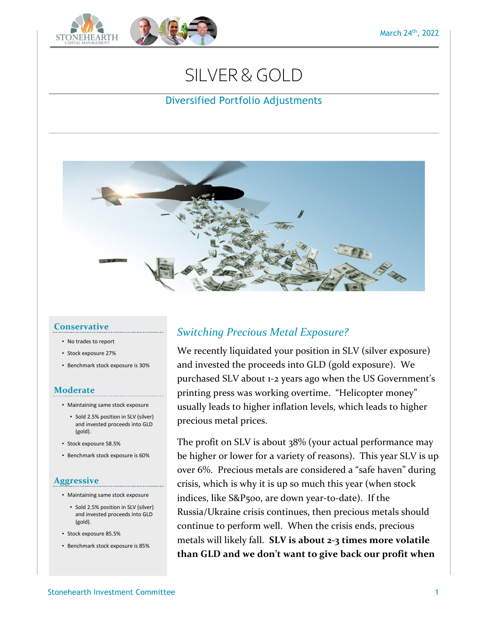# SILVER&GOLD

## Diversified Portfolio Adjustments



#### **Conservative**

- No trades to report
- Stock exposure 27%
- Benchmark stock exposure is 30%

### **Moderate**

- Maintaining same stock exposure
	- Sold 2.5% position in SLV (silver) and invested proceeds into GLD (gold).
- Stock exposure 58.5%
- Benchmark stock exposure is 60%

#### **Aggressive**

- Maintaining same stock exposure
	- Sold 2.5% position in SLV (silver) and invested proceeds into GLD (gold).
- Stock exposure 85.5%
- Benchmark stock exposure is 85%

# *Switching Precious Metal Exposure?*

We recently liquidated your position in SLV (silver exposure) and invested the proceeds into GLD (gold exposure). We purchased SLV about 1-2 years ago when the US Government's printing press was working overtime. "Helicopter money" usually leads to higher inflation levels, which leads to higher precious metal prices.

The profit on SLV is about 38% (your actual performance may be higher or lower for a variety of reasons). This year SLV is up over 6%. Precious metals are considered a "safe haven" during crisis, which is why it is up so much this year (when stock indices, like S&P500, are down year-to-date). If the Russia/Ukraine crisis continues, then precious metals should continue to perform well. When the crisis ends, precious metals will likely fall. **SLV is about 2-3 times more volatile than GLD and we don't want to give back our profit when**